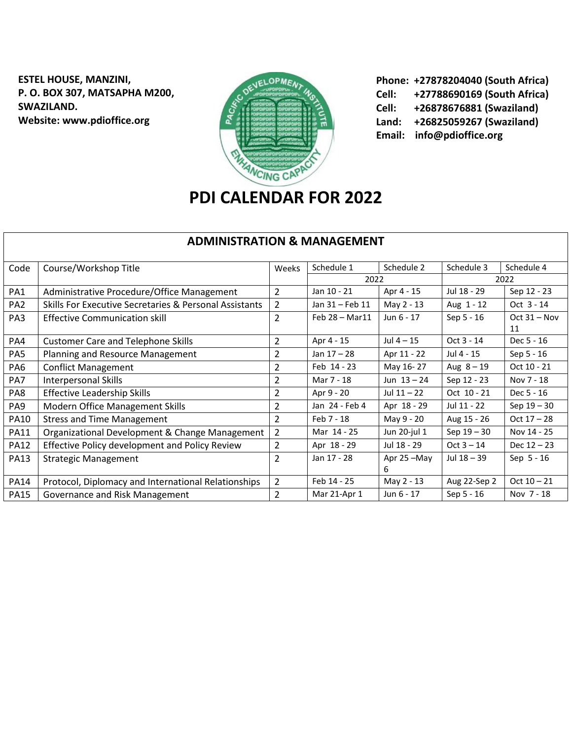**ESTEL HOUSE, MANZINI, P. O. BOX 307, MATSAPHA M200, SWAZILAND. Website: www.pdioffice.org**



**Phone: +27878204040 (South Africa) Cell: +27788690169 (South Africa) Cell: +26878676881 (Swaziland) Land: +26825059267 (Swaziland) Email: info@pdioffice.org**

## **PDI CALENDAR FOR 2022**

| <b>ADMINISTRATION &amp; MANAGEMENT</b> |                                                        |                |                         |               |               |                |  |  |
|----------------------------------------|--------------------------------------------------------|----------------|-------------------------|---------------|---------------|----------------|--|--|
| Code                                   | Course/Workshop Title                                  | Weeks          | Schedule 1              | Schedule 2    | Schedule 3    | Schedule 4     |  |  |
|                                        |                                                        |                |                         | 2022          |               | 2022           |  |  |
| PA1                                    | Administrative Procedure/Office Management             | $\overline{2}$ | Jan 10 - 21             | Apr 4 - 15    | Jul 18 - 29   | Sep 12 - 23    |  |  |
| PA <sub>2</sub>                        | Skills For Executive Secretaries & Personal Assistants | 2              | Jan 31 - Feb 11         | May 2 - 13    | Aug 1 - 12    | Oct 3 - 14     |  |  |
| PA3                                    | <b>Effective Communication skill</b>                   | $\overline{2}$ | Feb $28 - \text{Mar11}$ | Jun 6 - 17    | Sep 5 - 16    | $Oct 31 - Nov$ |  |  |
|                                        |                                                        |                |                         |               |               | 11             |  |  |
| PA4                                    | <b>Customer Care and Telephone Skills</b>              | $\overline{2}$ | Apr 4 - 15              | Jul $4-15$    | Oct 3 - 14    | Dec 5 - 16     |  |  |
| PA5                                    | Planning and Resource Management                       | 2              | Jan $17 - 28$           | Apr 11 - 22   | Jul 4 - 15    | Sep 5 - 16     |  |  |
| PA6                                    | <b>Conflict Management</b>                             | 2              | Feb 14 - 23             | May 16-27     | Aug $8 - 19$  | Oct 10 - 21    |  |  |
| PA7                                    | <b>Interpersonal Skills</b>                            | 2              | Mar 7 - 18              | Jun $13 - 24$ | Sep 12 - 23   | Nov 7 - 18     |  |  |
| PA8                                    | <b>Effective Leadership Skills</b>                     | 2              | Apr 9 - 20              | Jul $11 - 22$ | Oct 10 - 21   | Dec 5 - 16     |  |  |
| PA <sub>9</sub>                        | Modern Office Management Skills                        | 2              | Jan 24 - Feb 4          | Apr 18 - 29   | Jul 11 - 22   | Sep $19 - 30$  |  |  |
| <b>PA10</b>                            | <b>Stress and Time Management</b>                      | $\overline{2}$ | Feb 7 - 18              | May 9 - 20    | Aug 15 - 26   | $Oct 17 - 28$  |  |  |
| <b>PA11</b>                            | Organizational Development & Change Management         | 2              | Mar 14 - 25             | Jun 20-jul 1  | Sep $19 - 30$ | Nov 14 - 25    |  |  |
| <b>PA12</b>                            | Effective Policy development and Policy Review         | 2              | Apr 18 - 29             | Jul 18 - 29   | $Oct 3 - 14$  | Dec $12 - 23$  |  |  |
| <b>PA13</b>                            | <b>Strategic Management</b>                            | $\overline{2}$ | Jan 17 - 28             | Apr 25-May    | Jul 18 - 39   | Sep 5 - 16     |  |  |
|                                        |                                                        |                |                         | 6             |               |                |  |  |
| <b>PA14</b>                            | Protocol, Diplomacy and International Relationships    | $\overline{2}$ | Feb 14 - 25             | May 2 - 13    | Aug 22-Sep 2  | $Oct 10 - 21$  |  |  |
| <b>PA15</b>                            | Governance and Risk Management                         | $\overline{2}$ | Mar 21-Apr 1            | Jun 6 - 17    | Sep 5 - 16    | Nov 7 - 18     |  |  |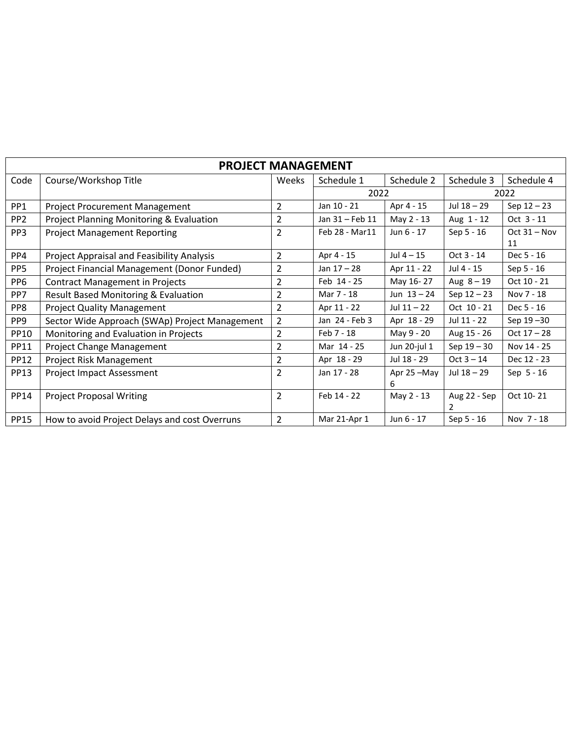| <b>PROJECT MANAGEMENT</b> |                                                |                |                 |               |               |                |  |  |
|---------------------------|------------------------------------------------|----------------|-----------------|---------------|---------------|----------------|--|--|
| Code                      | Course/Workshop Title                          | Weeks          | Schedule 1      | Schedule 2    | Schedule 3    | Schedule 4     |  |  |
|                           |                                                |                |                 | 2022          |               | 2022           |  |  |
| PP1                       | <b>Project Procurement Management</b>          | $\overline{2}$ | Jan 10 - 21     | Apr 4 - 15    | Jul 18 - 29   | Sep $12 - 23$  |  |  |
| PP <sub>2</sub>           | Project Planning Monitoring & Evaluation       | 2              | Jan 31 - Feb 11 | May 2 - 13    | Aug 1 - 12    | Oct 3 - 11     |  |  |
| PP <sub>3</sub>           | <b>Project Management Reporting</b>            | $\overline{2}$ | Feb 28 - Mar11  | Jun 6 - 17    | Sep 5 - 16    | $Oct 31 - Nov$ |  |  |
|                           |                                                |                |                 |               |               | 11             |  |  |
| PP4                       | Project Appraisal and Feasibility Analysis     | $\overline{2}$ | Apr 4 - 15      | Jul 4 – 15    | Oct 3 - 14    | Dec 5 - 16     |  |  |
| PP <sub>5</sub>           | Project Financial Management (Donor Funded)    | 2              | Jan $17 - 28$   | Apr 11 - 22   | Jul 4 - 15    | Sep 5 - 16     |  |  |
| PP <sub>6</sub>           | <b>Contract Management in Projects</b>         | $\overline{2}$ | Feb 14 - 25     | May 16-27     | Aug $8 - 19$  | Oct 10 - 21    |  |  |
| PP7                       | Result Based Monitoring & Evaluation           | 2              | Mar 7 - 18      | Jun $13 - 24$ | Sep $12 - 23$ | Nov 7 - 18     |  |  |
| PP8                       | <b>Project Quality Management</b>              | $\overline{2}$ | Apr 11 - 22     | Jul $11 - 22$ | Oct 10 - 21   | Dec 5 - 16     |  |  |
| PP9                       | Sector Wide Approach (SWAp) Project Management | $\overline{2}$ | Jan 24 - Feb 3  | Apr 18 - 29   | Jul 11 - 22   | Sep 19-30      |  |  |
| <b>PP10</b>               | Monitoring and Evaluation in Projects          | $\overline{2}$ | Feb 7 - 18      | May 9 - 20    | Aug 15 - 26   | $Oct 17 - 28$  |  |  |
| <b>PP11</b>               | Project Change Management                      | 2              | Mar 14 - 25     | Jun 20-jul 1  | Sep $19 - 30$ | Nov 14 - 25    |  |  |
| <b>PP12</b>               | Project Risk Management                        | $\overline{2}$ | Apr 18 - 29     | Jul 18 - 29   | $Oct 3 - 14$  | Dec 12 - 23    |  |  |
| <b>PP13</b>               | <b>Project Impact Assessment</b>               | $\overline{2}$ | Jan 17 - 28     | Apr 25 -May   | Jul 18 - 29   | Sep $5 - 16$   |  |  |
|                           |                                                |                |                 | 6             |               |                |  |  |
| <b>PP14</b>               | <b>Project Proposal Writing</b>                | $\overline{2}$ | Feb 14 - 22     | May 2 - 13    | Aug 22 - Sep  | Oct 10-21      |  |  |
|                           |                                                |                |                 |               |               |                |  |  |
| <b>PP15</b>               | How to avoid Project Delays and cost Overruns  | $\overline{2}$ | Mar 21-Apr 1    | Jun 6 - 17    | Sep 5 - 16    | Nov 7 - 18     |  |  |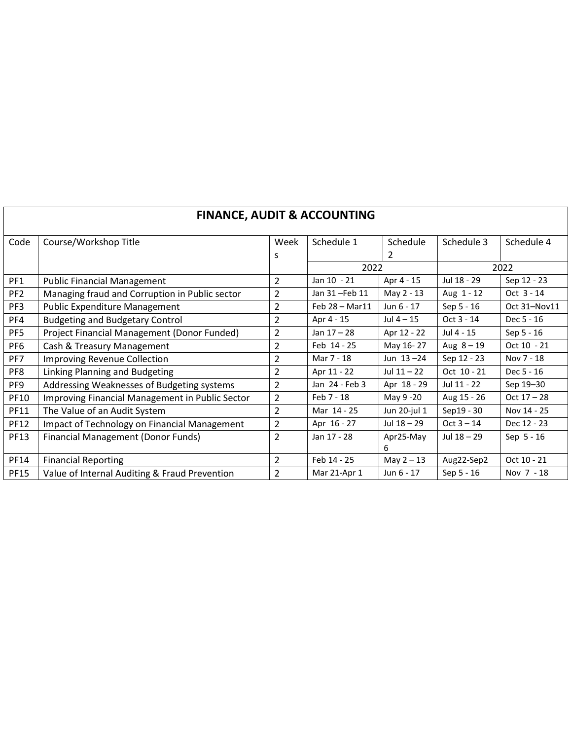| <b>FINANCE, AUDIT &amp; ACCOUNTING</b> |                                                 |                |                |               |              |               |  |  |
|----------------------------------------|-------------------------------------------------|----------------|----------------|---------------|--------------|---------------|--|--|
| Code                                   | Course/Workshop Title                           | Week           | Schedule 1     | Schedule      | Schedule 3   | Schedule 4    |  |  |
|                                        |                                                 | s              |                | 2             |              |               |  |  |
|                                        |                                                 |                | 2022           |               |              | 2022          |  |  |
| PF1                                    | <b>Public Financial Management</b>              | $\overline{2}$ | Jan 10 - 21    | Apr 4 - 15    | Jul 18 - 29  | Sep 12 - 23   |  |  |
| PF <sub>2</sub>                        | Managing fraud and Corruption in Public sector  | 2              | Jan 31-Feb 11  | May 2 - 13    | Aug 1 - 12   | Oct 3 - 14    |  |  |
| PF3                                    | <b>Public Expenditure Management</b>            | $\overline{2}$ | Feb 28 - Mar11 | Jun 6 - 17    | Sep 5 - 16   | Oct 31-Nov11  |  |  |
| PF4                                    | <b>Budgeting and Budgetary Control</b>          | $\overline{2}$ | Apr 4 - 15     | Jul 4 – 15    | Oct 3 - 14   | Dec 5 - 16    |  |  |
| PF <sub>5</sub>                        | Project Financial Management (Donor Funded)     | 2              | Jan 17 - 28    | Apr 12 - 22   | Jul 4 - 15   | Sep 5 - 16    |  |  |
| PF <sub>6</sub>                        | Cash & Treasury Management                      | 2              | Feb 14 - 25    | May 16-27     | Aug $8 - 19$ | Oct 10 - 21   |  |  |
| PF7                                    | <b>Improving Revenue Collection</b>             | $\overline{2}$ | Mar 7 - 18     | Jun $13 - 24$ | Sep 12 - 23  | Nov 7 - 18    |  |  |
| PF8                                    | Linking Planning and Budgeting                  | $\overline{2}$ | Apr 11 - 22    | Jul $11 - 22$ | Oct 10 - 21  | Dec 5 - 16    |  |  |
| PF9                                    | Addressing Weaknesses of Budgeting systems      | 2              | Jan 24 - Feb 3 | Apr 18 - 29   | Jul 11 - 22  | Sep 19-30     |  |  |
| PF10                                   | Improving Financial Management in Public Sector | $\overline{2}$ | Feb 7 - 18     | May 9 -20     | Aug 15 - 26  | $Oct 17 - 28$ |  |  |
| <b>PF11</b>                            | The Value of an Audit System                    | $\overline{2}$ | Mar 14 - 25    | Jun 20-jul 1  | Sep19 - 30   | Nov 14 - 25   |  |  |
| <b>PF12</b>                            | Impact of Technology on Financial Management    | $\overline{2}$ | Apr 16 - 27    | Jul 18 - 29   | $Oct 3 - 14$ | Dec 12 - 23   |  |  |
| <b>PF13</b>                            | <b>Financial Management (Donor Funds)</b>       | 2              | Jan 17 - 28    | Apr25-May     | Jul 18 - 29  | Sep 5 - 16    |  |  |
|                                        |                                                 |                |                | 6             |              |               |  |  |
| <b>PF14</b>                            | <b>Financial Reporting</b>                      | $\overline{2}$ | Feb 14 - 25    | May $2 - 13$  | Aug22-Sep2   | Oct 10 - 21   |  |  |
| <b>PF15</b>                            | Value of Internal Auditing & Fraud Prevention   | $\overline{2}$ | Mar 21-Apr 1   | Jun 6 - 17    | Sep 5 - 16   | Nov 7 - 18    |  |  |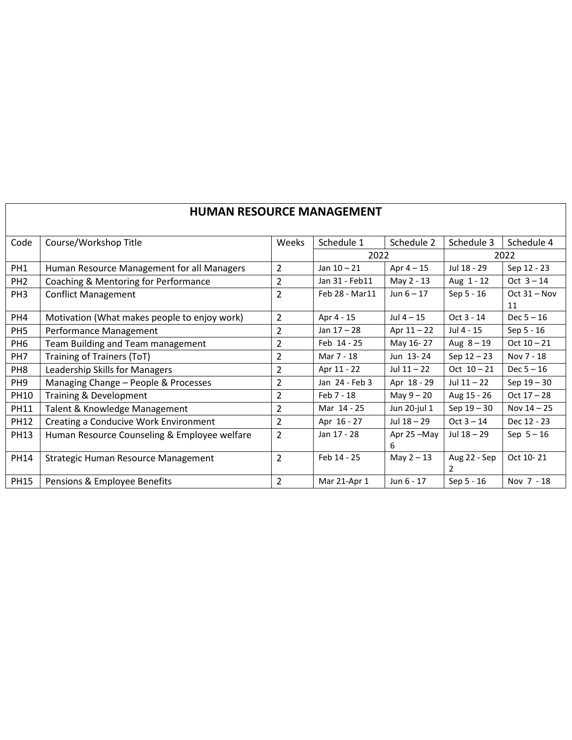|                 | HUIVIAIN NLJUUNUL IVIAINAULIVILIN I          |                |                |               |               |                |  |  |  |
|-----------------|----------------------------------------------|----------------|----------------|---------------|---------------|----------------|--|--|--|
| Code            | Course/Workshop Title                        | Weeks          | Schedule 1     | Schedule 2    | Schedule 3    | Schedule 4     |  |  |  |
|                 |                                              |                | 2022           |               |               | 2022           |  |  |  |
| PH1             | Human Resource Management for all Managers   | $\overline{2}$ | Jan $10 - 21$  | Apr $4 - 15$  | Jul 18 - 29   | Sep 12 - 23    |  |  |  |
| PH <sub>2</sub> | Coaching & Mentoring for Performance         | 2              | Jan 31 - Feb11 | May 2 - 13    | Aug 1 - 12    | Oct $3 - 14$   |  |  |  |
| PH <sub>3</sub> | <b>Conflict Management</b>                   | $\overline{2}$ | Feb 28 - Mar11 | Jun $6 - 17$  | Sep 5 - 16    | Oct $31 - Nov$ |  |  |  |
|                 |                                              |                |                |               |               | 11             |  |  |  |
| PH4             | Motivation (What makes people to enjoy work) | 2              | Apr 4 - 15     | Jul $4-15$    | $Oct 3 - 14$  | $Dec 5 - 16$   |  |  |  |
| PH <sub>5</sub> | Performance Management                       | 2              | Jan $17 - 28$  | Apr $11 - 22$ | Jul 4 - 15    | Sep 5 - 16     |  |  |  |
| PH <sub>6</sub> | Team Building and Team management            | 2              | Feb 14 - 25    | May 16-27     | Aug $8 - 19$  | Oct $10 - 21$  |  |  |  |
| PH <sub>7</sub> | <b>Training of Trainers (ToT)</b>            | 2              | Mar 7 - 18     | Jun 13-24     | Sep $12 - 23$ | Nov 7 - 18     |  |  |  |
| PH <sub>8</sub> | Leadership Skills for Managers               | 2              | Apr 11 - 22    | Jul $11 - 22$ | Oct $10 - 21$ | $Dec 5 - 16$   |  |  |  |
| PH <sub>9</sub> | Managing Change - People & Processes         | $\overline{2}$ | Jan 24 - Feb 3 | Apr 18 - 29   | Jul $11 - 22$ | Sep $19 - 30$  |  |  |  |
| <b>PH10</b>     | Training & Development                       | 2              | Feb 7 - 18     | May 9 - 20    | Aug 15 - 26   | $Oct 17 - 28$  |  |  |  |
| <b>PH11</b>     | Talent & Knowledge Management                | 2              | Mar 14 - 25    | Jun 20-jul 1  | Sep $19 - 30$ | Nov 14 - 25    |  |  |  |
| <b>PH12</b>     | Creating a Conducive Work Environment        | 2              | Apr 16 - 27    | Jul 18 - 29   | $Oct 3 - 14$  | Dec 12 - 23    |  |  |  |
| <b>PH13</b>     | Human Resource Counseling & Employee welfare | $\overline{2}$ | Jan 17 - 28    | Apr 25-May    | Jul 18 - 29   | Sep $5-16$     |  |  |  |
|                 |                                              |                |                | 6             |               |                |  |  |  |
| <b>PH14</b>     | Strategic Human Resource Management          | $\overline{2}$ | Feb 14 - 25    | May $2 - 13$  | Aug 22 - Sep  | Oct 10-21      |  |  |  |
|                 |                                              |                |                |               | 2             |                |  |  |  |
| <b>PH15</b>     | Pensions & Employee Benefits                 | $\overline{2}$ | Mar 21-Apr 1   | Jun 6 - 17    | Sep 5 - 16    | Nov 7 - 18     |  |  |  |

## **HUMAN RESOURCE MANAGEMENT**

 $\overline{\phantom{a}}$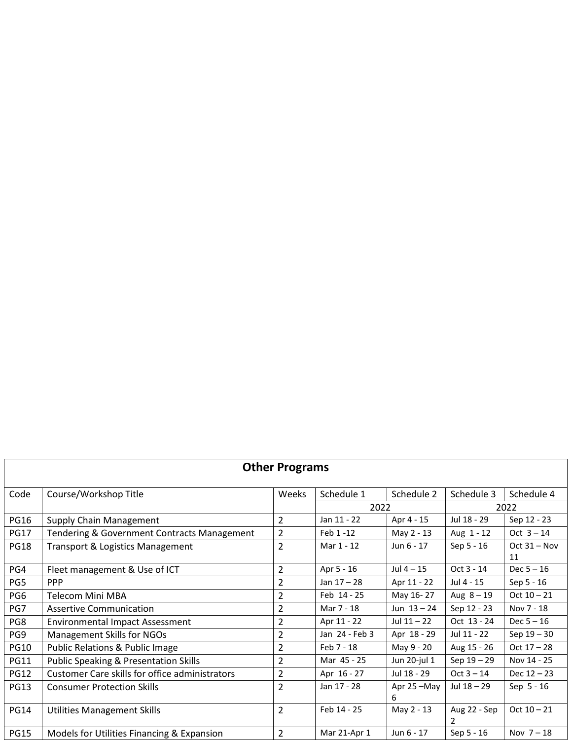| <b>Other Programs</b> |                                                       |                |                |               |               |                |  |  |
|-----------------------|-------------------------------------------------------|----------------|----------------|---------------|---------------|----------------|--|--|
| Code                  | Course/Workshop Title                                 | <b>Weeks</b>   | Schedule 1     | Schedule 2    | Schedule 3    | Schedule 4     |  |  |
|                       |                                                       |                | 2022           |               | 2022          |                |  |  |
| <b>PG16</b>           | Supply Chain Management                               | $\overline{2}$ | Jan 11 - 22    | Apr 4 - 15    | Jul 18 - 29   | Sep 12 - 23    |  |  |
| <b>PG17</b>           | Tendering & Government Contracts Management           | 2              | Feb 1-12       | May 2 - 13    | Aug 1 - 12    | Oct $3 - 14$   |  |  |
| <b>PG18</b>           | Transport & Logistics Management                      | $\overline{2}$ | Mar 1 - 12     | Jun 6 - 17    | Sep 5 - 16    | $Oct 31 - Nov$ |  |  |
|                       |                                                       |                |                |               |               | 11             |  |  |
| PG4                   | Fleet management & Use of ICT                         | 2              | Apr 5 - 16     | Jul $4 - 15$  | Oct 3 - 14    | $Dec 5 - 16$   |  |  |
| PG5                   | <b>PPP</b>                                            | 2              | Jan $17 - 28$  | Apr 11 - 22   | Jul 4 - 15    | Sep 5 - 16     |  |  |
| PG6                   | Telecom Mini MBA                                      | 2              | Feb 14 - 25    | May 16-27     | Aug $8 - 19$  | $Oct 10 - 21$  |  |  |
| PG7                   | <b>Assertive Communication</b>                        | 2              | Mar 7 - 18     | Jun $13 - 24$ | Sep 12 - 23   | Nov 7 - 18     |  |  |
| PG8                   | <b>Environmental Impact Assessment</b>                | $\overline{2}$ | Apr 11 - 22    | Jul $11 - 22$ | Oct 13 - 24   | $Dec 5 - 16$   |  |  |
| PG9                   | <b>Management Skills for NGOs</b>                     | 2              | Jan 24 - Feb 3 | Apr 18 - 29   | Jul 11 - 22   | Sep $19 - 30$  |  |  |
| <b>PG10</b>           | Public Relations & Public Image                       | 2              | Feb 7 - 18     | May 9 - 20    | Aug 15 - 26   | $Oct 17 - 28$  |  |  |
| <b>PG11</b>           | <b>Public Speaking &amp; Presentation Skills</b>      | 2              | Mar 45 - 25    | Jun 20-jul 1  | Sep 19 - 29   | Nov 14 - 25    |  |  |
| <b>PG12</b>           | <b>Customer Care skills for office administrators</b> | 2              | Apr 16 - 27    | Jul 18 - 29   | $Oct 3 - 14$  | Dec 12 - 23    |  |  |
| <b>PG13</b>           | <b>Consumer Protection Skills</b>                     | $\overline{2}$ | Jan 17 - 28    | Apr 25-May    | Jul $18 - 29$ | Sep 5 - 16     |  |  |
|                       |                                                       |                |                | 6             |               |                |  |  |
| <b>PG14</b>           | <b>Utilities Management Skills</b>                    | $\overline{2}$ | Feb 14 - 25    | May 2 - 13    | Aug 22 - Sep  | $Oct 10 - 21$  |  |  |
|                       |                                                       |                |                |               | 2             |                |  |  |
| <b>PG15</b>           | Models for Utilities Financing & Expansion            | $\overline{2}$ | Mar 21-Apr 1   | Jun 6 - 17    | Sep 5 - 16    | Nov $7-18$     |  |  |